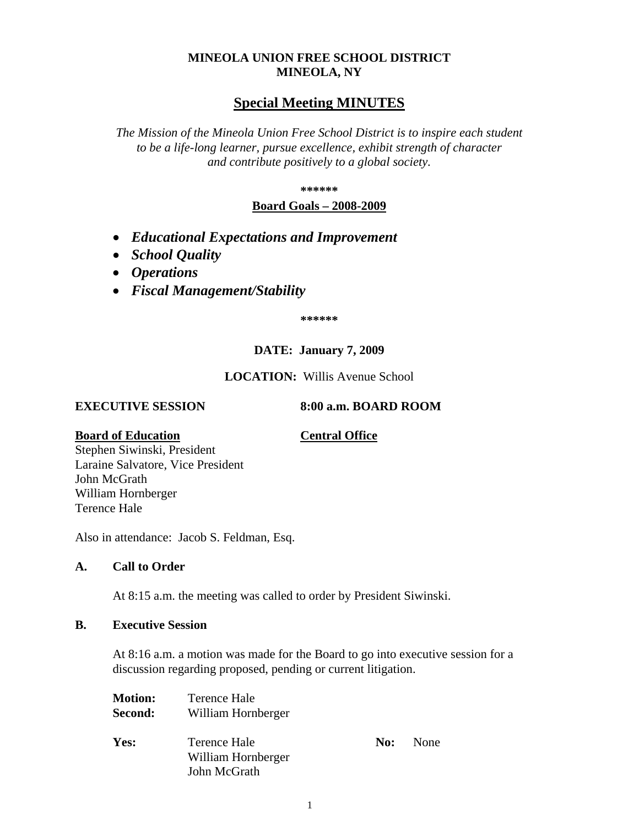## **MINEOLA UNION FREE SCHOOL DISTRICT MINEOLA, NY**

# **Special Meeting MINUTES**

*The Mission of the Mineola Union Free School District is to inspire each student to be a life-long learner, pursue excellence, exhibit strength of character and contribute positively to a global society.*

#### **\*\*\*\*\*\***

## **Board Goals – 2008-2009**

- *Educational Expectations and Improvement*
- *School Quality*
- *Operations*
- *Fiscal Management/Stability*

**\*\*\*\*\*\***

## **DATE: January 7, 2009**

## **LOCATION:** Willis Avenue School

#### **EXECUTIVE SESSION 8:00 a.m. BOARD ROOM**

#### **Board of Education Central Office**

Stephen Siwinski, President Laraine Salvatore, Vice President John McGrath William Hornberger Terence Hale

Also in attendance: Jacob S. Feldman, Esq.

## **A. Call to Order**

At 8:15 a.m. the meeting was called to order by President Siwinski.

## **B. Executive Session**

At 8:16 a.m. a motion was made for the Board to go into executive session for a discussion regarding proposed, pending or current litigation.

| <b>Motion:</b> | Terence Hale                       |     |      |
|----------------|------------------------------------|-----|------|
| Second:        | William Hornberger                 |     |      |
| Yes:           | Terence Hale<br>William Hornberger | No: | None |
|                | John McGrath                       |     |      |